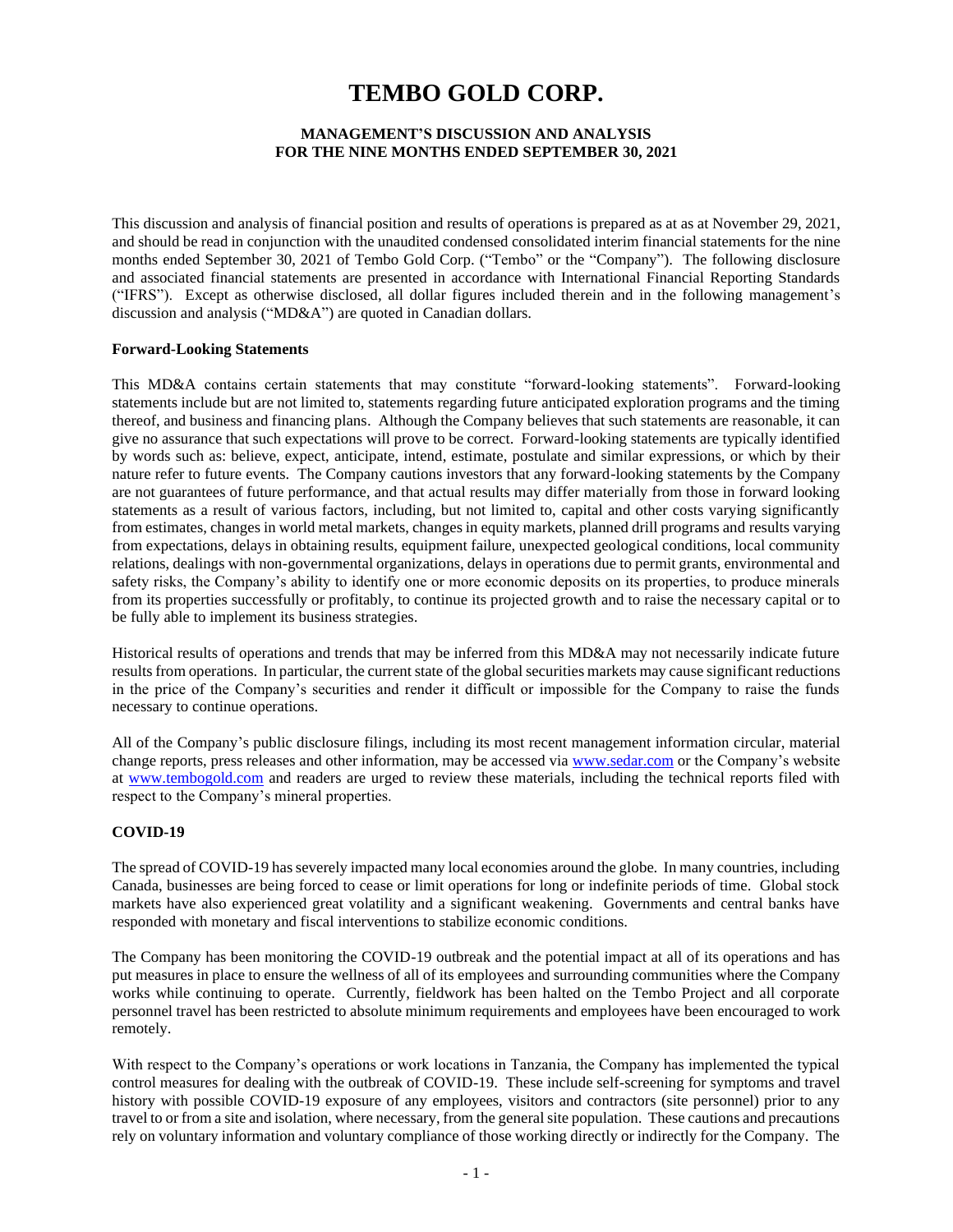# **TEMBO GOLD CORP.**

## **MANAGEMENT'S DISCUSSION AND ANALYSIS FOR THE NINE MONTHS ENDED SEPTEMBER 30, 2021**

This discussion and analysis of financial position and results of operations is prepared as at as at November 29, 2021, and should be read in conjunction with the unaudited condensed consolidated interim financial statements for the nine months ended September 30, 2021 of Tembo Gold Corp. ("Tembo" or the "Company"). The following disclosure and associated financial statements are presented in accordance with International Financial Reporting Standards ("IFRS"). Except as otherwise disclosed, all dollar figures included therein and in the following management's discussion and analysis ("MD&A") are quoted in Canadian dollars.

#### **Forward-Looking Statements**

This MD&A contains certain statements that may constitute "forward-looking statements". Forward-looking statements include but are not limited to, statements regarding future anticipated exploration programs and the timing thereof, and business and financing plans. Although the Company believes that such statements are reasonable, it can give no assurance that such expectations will prove to be correct. Forward-looking statements are typically identified by words such as: believe, expect, anticipate, intend, estimate, postulate and similar expressions, or which by their nature refer to future events. The Company cautions investors that any forward-looking statements by the Company are not guarantees of future performance, and that actual results may differ materially from those in forward looking statements as a result of various factors, including, but not limited to, capital and other costs varying significantly from estimates, changes in world metal markets, changes in equity markets, planned drill programs and results varying from expectations, delays in obtaining results, equipment failure, unexpected geological conditions, local community relations, dealings with non-governmental organizations, delays in operations due to permit grants, environmental and safety risks, the Company's ability to identify one or more economic deposits on its properties, to produce minerals from its properties successfully or profitably, to continue its projected growth and to raise the necessary capital or to be fully able to implement its business strategies.

Historical results of operations and trends that may be inferred from this MD&A may not necessarily indicate future results from operations. In particular, the current state of the global securities markets may cause significant reductions in the price of the Company's securities and render it difficult or impossible for the Company to raise the funds necessary to continue operations.

All of the Company's public disclosure filings, including its most recent management information circular, material change reports, press releases and other information, may be accessed via [www.sedar.com](http://www.sedar.com/) or the Company's website at [www.tembogold.com](http://www.tembogold.com/) and readers are urged to review these materials, including the technical reports filed with respect to the Company's mineral properties.

## **COVID-19**

The spread of COVID-19 has severely impacted many local economies around the globe. In many countries, including Canada, businesses are being forced to cease or limit operations for long or indefinite periods of time. Global stock markets have also experienced great volatility and a significant weakening. Governments and central banks have responded with monetary and fiscal interventions to stabilize economic conditions.

The Company has been monitoring the COVID-19 outbreak and the potential impact at all of its operations and has put measures in place to ensure the wellness of all of its employees and surrounding communities where the Company works while continuing to operate. Currently, fieldwork has been halted on the Tembo Project and all corporate personnel travel has been restricted to absolute minimum requirements and employees have been encouraged to work remotely.

With respect to the Company's operations or work locations in Tanzania, the Company has implemented the typical control measures for dealing with the outbreak of COVID-19. These include self-screening for symptoms and travel history with possible COVID-19 exposure of any employees, visitors and contractors (site personnel) prior to any travel to or from a site and isolation, where necessary, from the general site population. These cautions and precautions rely on voluntary information and voluntary compliance of those working directly or indirectly for the Company. The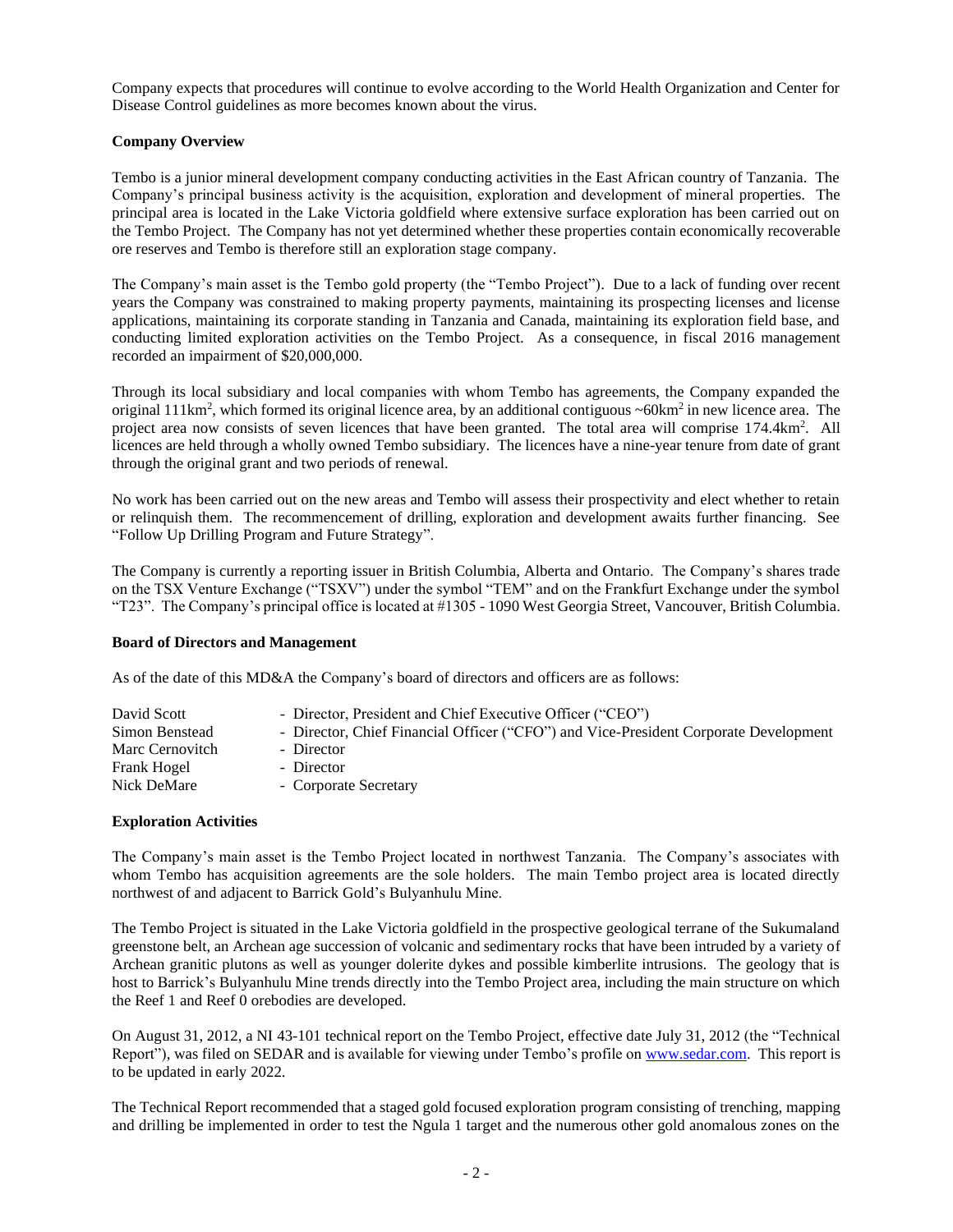Company expects that procedures will continue to evolve according to the World Health Organization and Center for Disease Control guidelines as more becomes known about the virus.

## **Company Overview**

Tembo is a junior mineral development company conducting activities in the East African country of Tanzania. The Company's principal business activity is the acquisition, exploration and development of mineral properties. The principal area is located in the Lake Victoria goldfield where extensive surface exploration has been carried out on the Tembo Project. The Company has not yet determined whether these properties contain economically recoverable ore reserves and Tembo is therefore still an exploration stage company.

The Company's main asset is the Tembo gold property (the "Tembo Project"). Due to a lack of funding over recent years the Company was constrained to making property payments, maintaining its prospecting licenses and license applications, maintaining its corporate standing in Tanzania and Canada, maintaining its exploration field base, and conducting limited exploration activities on the Tembo Project. As a consequence, in fiscal 2016 management recorded an impairment of \$20,000,000.

Through its local subsidiary and local companies with whom Tembo has agreements, the Company expanded the original 111km<sup>2</sup>, which formed its original licence area, by an additional contiguous  $\sim 60 \text{km}^2$  in new licence area. The project area now consists of seven licences that have been granted. The total area will comprise 174.4km<sup>2</sup>. All licences are held through a wholly owned Tembo subsidiary. The licences have a nine-year tenure from date of grant through the original grant and two periods of renewal.

No work has been carried out on the new areas and Tembo will assess their prospectivity and elect whether to retain or relinquish them. The recommencement of drilling, exploration and development awaits further financing. See "Follow Up Drilling Program and Future Strategy".

The Company is currently a reporting issuer in British Columbia, Alberta and Ontario. The Company's shares trade on the TSX Venture Exchange ("TSXV") under the symbol "TEM" and on the Frankfurt Exchange under the symbol "T23". The Company's principal office is located at #1305 - 1090 West Georgia Street, Vancouver, British Columbia.

## **Board of Directors and Management**

As of the date of this MD&A the Company's board of directors and officers are as follows:

| David Scott     | - Director, President and Chief Executive Officer ("CEO")                            |
|-----------------|--------------------------------------------------------------------------------------|
| Simon Benstead  | - Director, Chief Financial Officer ("CFO") and Vice-President Corporate Development |
| Marc Cernovitch | - Director                                                                           |
| Frank Hogel     | - Director                                                                           |
| Nick DeMare     | - Corporate Secretary                                                                |

## **Exploration Activities**

The Company's main asset is the Tembo Project located in northwest Tanzania. The Company's associates with whom Tembo has acquisition agreements are the sole holders. The main Tembo project area is located directly northwest of and adjacent to Barrick Gold's Bulyanhulu Mine.

The Tembo Project is situated in the Lake Victoria goldfield in the prospective geological terrane of the Sukumaland greenstone belt, an Archean age succession of volcanic and sedimentary rocks that have been intruded by a variety of Archean granitic plutons as well as younger dolerite dykes and possible kimberlite intrusions. The geology that is host to Barrick's Bulyanhulu Mine trends directly into the Tembo Project area, including the main structure on which the Reef 1 and Reef 0 orebodies are developed.

On August 31, 2012, a NI 43-101 technical report on the Tembo Project, effective date July 31, 2012 (the "Technical Report"), was filed on SEDAR and is available for viewing under Tembo's profile on [www.sedar.com.](http://www.sedar.com/) This report is to be updated in early 2022.

The Technical Report recommended that a staged gold focused exploration program consisting of trenching, mapping and drilling be implemented in order to test the Ngula 1 target and the numerous other gold anomalous zones on the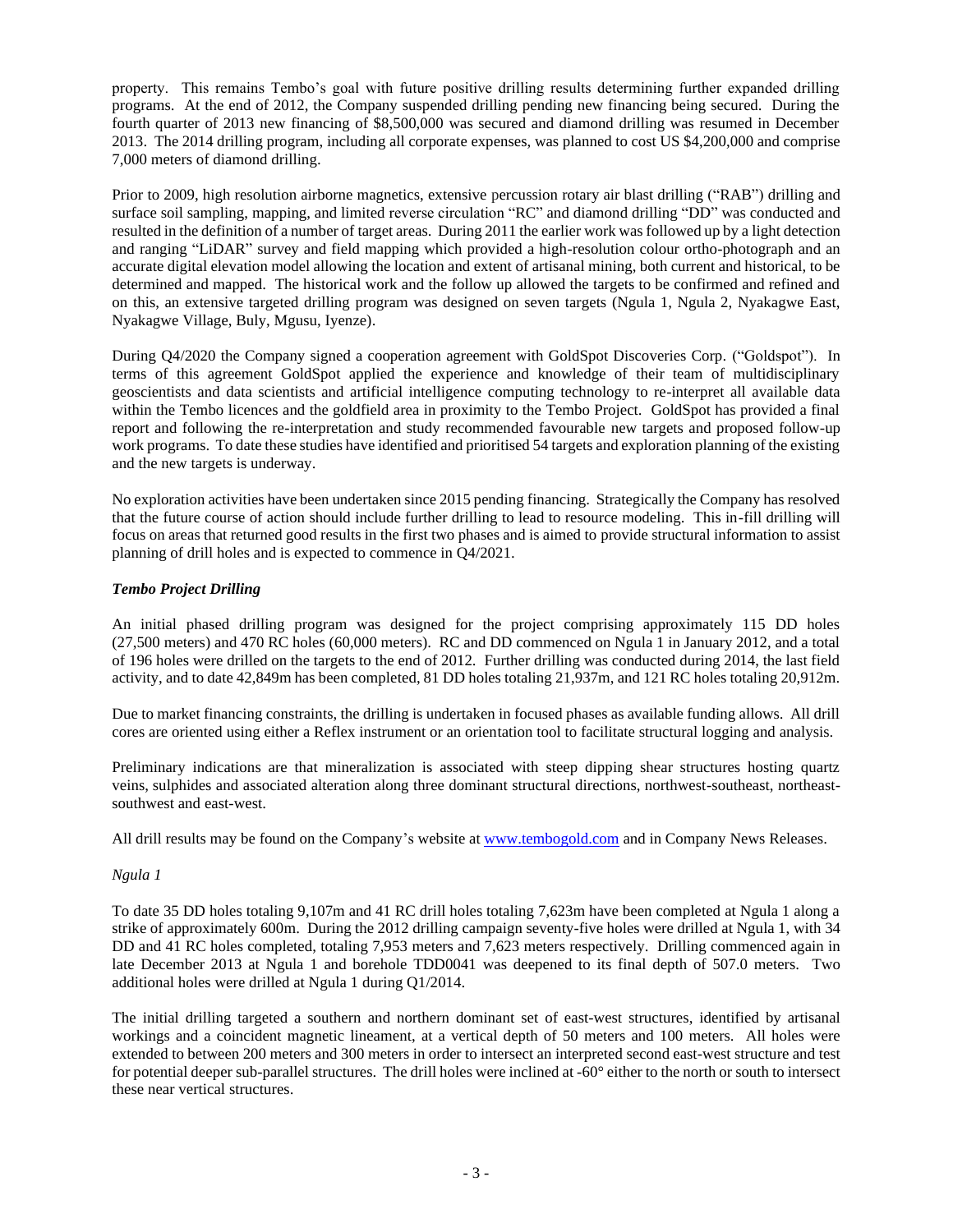property. This remains Tembo's goal with future positive drilling results determining further expanded drilling programs. At the end of 2012, the Company suspended drilling pending new financing being secured. During the fourth quarter of 2013 new financing of \$8,500,000 was secured and diamond drilling was resumed in December 2013. The 2014 drilling program, including all corporate expenses, was planned to cost US \$4,200,000 and comprise 7,000 meters of diamond drilling.

Prior to 2009, high resolution airborne magnetics, extensive percussion rotary air blast drilling ("RAB") drilling and surface soil sampling, mapping, and limited reverse circulation "RC" and diamond drilling "DD" was conducted and resulted in the definition of a number of target areas. During 2011 the earlier work was followed up by a light detection and ranging "LiDAR" survey and field mapping which provided a high-resolution colour ortho-photograph and an accurate digital elevation model allowing the location and extent of artisanal mining, both current and historical, to be determined and mapped. The historical work and the follow up allowed the targets to be confirmed and refined and on this, an extensive targeted drilling program was designed on seven targets (Ngula 1, Ngula 2, Nyakagwe East, Nyakagwe Village, Buly, Mgusu, Iyenze).

During Q4/2020 the Company signed a cooperation agreement with GoldSpot Discoveries Corp. ("Goldspot"). In terms of this agreement GoldSpot applied the experience and knowledge of their team of multidisciplinary geoscientists and data scientists and artificial intelligence computing technology to re-interpret all available data within the Tembo licences and the goldfield area in proximity to the Tembo Project. GoldSpot has provided a final report and following the re-interpretation and study recommended favourable new targets and proposed follow-up work programs. To date these studies have identified and prioritised 54 targets and exploration planning of the existing and the new targets is underway.

No exploration activities have been undertaken since 2015 pending financing. Strategically the Company has resolved that the future course of action should include further drilling to lead to resource modeling. This in-fill drilling will focus on areas that returned good results in the first two phases and is aimed to provide structural information to assist planning of drill holes and is expected to commence in Q4/2021.

# *Tembo Project Drilling*

An initial phased drilling program was designed for the project comprising approximately 115 DD holes (27,500 meters) and 470 RC holes (60,000 meters). RC and DD commenced on Ngula 1 in January 2012, and a total of 196 holes were drilled on the targets to the end of 2012. Further drilling was conducted during 2014, the last field activity, and to date 42,849m has been completed, 81 DD holes totaling 21,937m, and 121 RC holes totaling 20,912m.

Due to market financing constraints, the drilling is undertaken in focused phases as available funding allows. All drill cores are oriented using either a Reflex instrument or an orientation tool to facilitate structural logging and analysis.

Preliminary indications are that mineralization is associated with steep dipping shear structures hosting quartz veins, sulphides and associated alteration along three dominant structural directions, northwest-southeast, northeastsouthwest and east-west.

All drill results may be found on the Company's website at [www.tembogold.com](http://www.tembogold.com/) and in Company News Releases.

## *Ngula 1*

To date 35 DD holes totaling 9,107m and 41 RC drill holes totaling 7,623m have been completed at Ngula 1 along a strike of approximately 600m. During the 2012 drilling campaign seventy-five holes were drilled at Ngula 1, with 34 DD and 41 RC holes completed, totaling 7,953 meters and 7,623 meters respectively. Drilling commenced again in late December 2013 at Ngula 1 and borehole TDD0041 was deepened to its final depth of 507.0 meters. Two additional holes were drilled at Ngula 1 during Q1/2014.

The initial drilling targeted a southern and northern dominant set of east-west structures, identified by artisanal workings and a coincident magnetic lineament, at a vertical depth of 50 meters and 100 meters. All holes were extended to between 200 meters and 300 meters in order to intersect an interpreted second east-west structure and test for potential deeper sub-parallel structures. The drill holes were inclined at -60° either to the north or south to intersect these near vertical structures.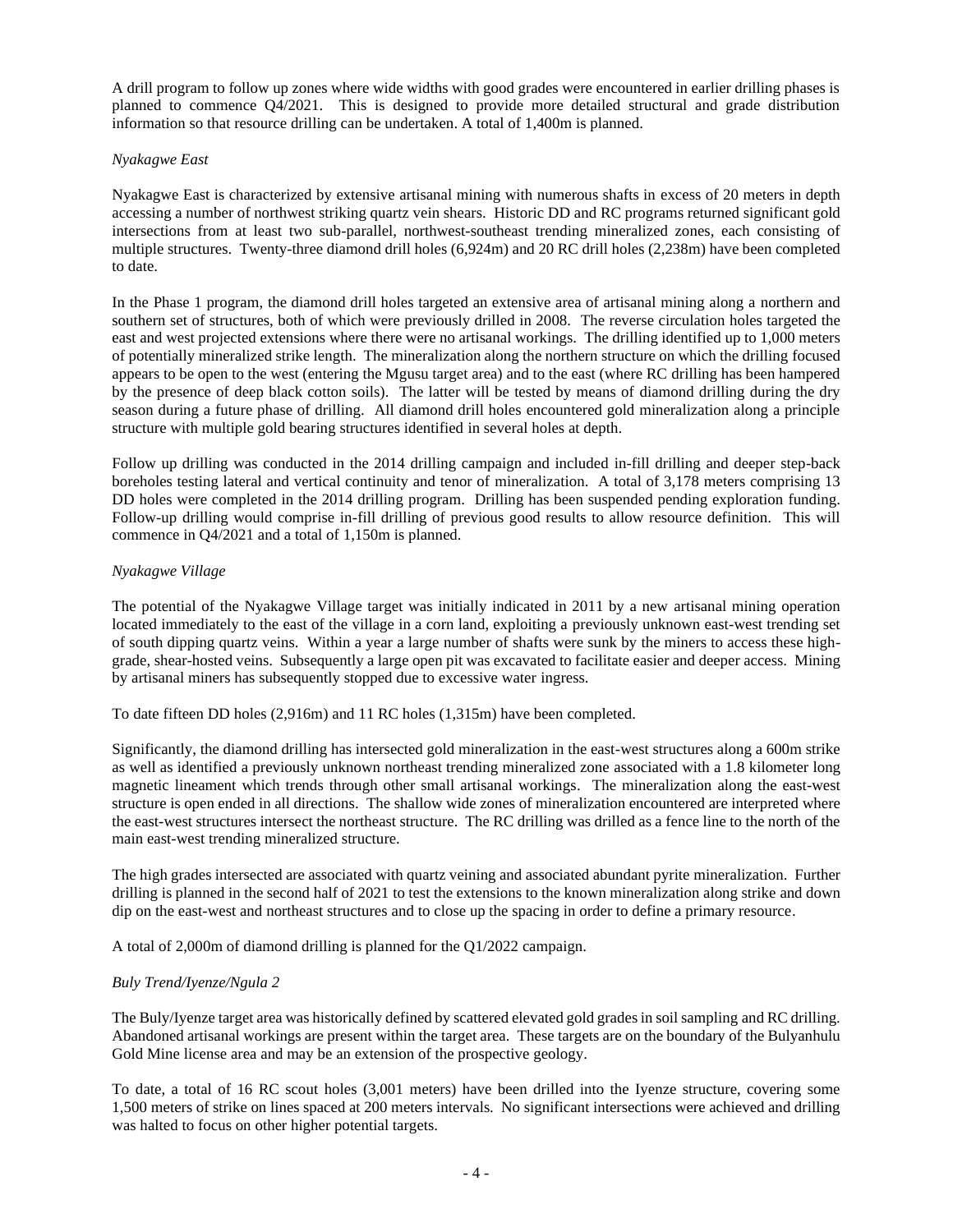A drill program to follow up zones where wide widths with good grades were encountered in earlier drilling phases is planned to commence Q4/2021. This is designed to provide more detailed structural and grade distribution information so that resource drilling can be undertaken. A total of 1,400m is planned.

## *Nyakagwe East*

Nyakagwe East is characterized by extensive artisanal mining with numerous shafts in excess of 20 meters in depth accessing a number of northwest striking quartz vein shears. Historic DD and RC programs returned significant gold intersections from at least two sub-parallel, northwest-southeast trending mineralized zones, each consisting of multiple structures. Twenty-three diamond drill holes (6,924m) and 20 RC drill holes (2,238m) have been completed to date.

In the Phase 1 program, the diamond drill holes targeted an extensive area of artisanal mining along a northern and southern set of structures, both of which were previously drilled in 2008. The reverse circulation holes targeted the east and west projected extensions where there were no artisanal workings. The drilling identified up to 1,000 meters of potentially mineralized strike length. The mineralization along the northern structure on which the drilling focused appears to be open to the west (entering the Mgusu target area) and to the east (where RC drilling has been hampered by the presence of deep black cotton soils). The latter will be tested by means of diamond drilling during the dry season during a future phase of drilling. All diamond drill holes encountered gold mineralization along a principle structure with multiple gold bearing structures identified in several holes at depth.

Follow up drilling was conducted in the 2014 drilling campaign and included in-fill drilling and deeper step-back boreholes testing lateral and vertical continuity and tenor of mineralization. A total of 3,178 meters comprising 13 DD holes were completed in the 2014 drilling program. Drilling has been suspended pending exploration funding. Follow-up drilling would comprise in-fill drilling of previous good results to allow resource definition. This will commence in Q4/2021 and a total of 1,150m is planned.

## *Nyakagwe Village*

The potential of the Nyakagwe Village target was initially indicated in 2011 by a new artisanal mining operation located immediately to the east of the village in a corn land, exploiting a previously unknown east-west trending set of south dipping quartz veins. Within a year a large number of shafts were sunk by the miners to access these highgrade, shear-hosted veins. Subsequently a large open pit was excavated to facilitate easier and deeper access. Mining by artisanal miners has subsequently stopped due to excessive water ingress.

To date fifteen DD holes (2,916m) and 11 RC holes (1,315m) have been completed.

Significantly, the diamond drilling has intersected gold mineralization in the east-west structures along a 600m strike as well as identified a previously unknown northeast trending mineralized zone associated with a 1.8 kilometer long magnetic lineament which trends through other small artisanal workings. The mineralization along the east-west structure is open ended in all directions. The shallow wide zones of mineralization encountered are interpreted where the east-west structures intersect the northeast structure. The RC drilling was drilled as a fence line to the north of the main east-west trending mineralized structure.

The high grades intersected are associated with quartz veining and associated abundant pyrite mineralization. Further drilling is planned in the second half of 2021 to test the extensions to the known mineralization along strike and down dip on the east-west and northeast structures and to close up the spacing in order to define a primary resource.

A total of 2,000m of diamond drilling is planned for the Q1/2022 campaign.

## *Buly Trend/Iyenze/Ngula 2*

The Buly/Iyenze target area was historically defined by scattered elevated gold grades in soil sampling and RC drilling. Abandoned artisanal workings are present within the target area. These targets are on the boundary of the Bulyanhulu Gold Mine license area and may be an extension of the prospective geology.

To date, a total of 16 RC scout holes (3,001 meters) have been drilled into the Iyenze structure, covering some 1,500 meters of strike on lines spaced at 200 meters intervals. No significant intersections were achieved and drilling was halted to focus on other higher potential targets.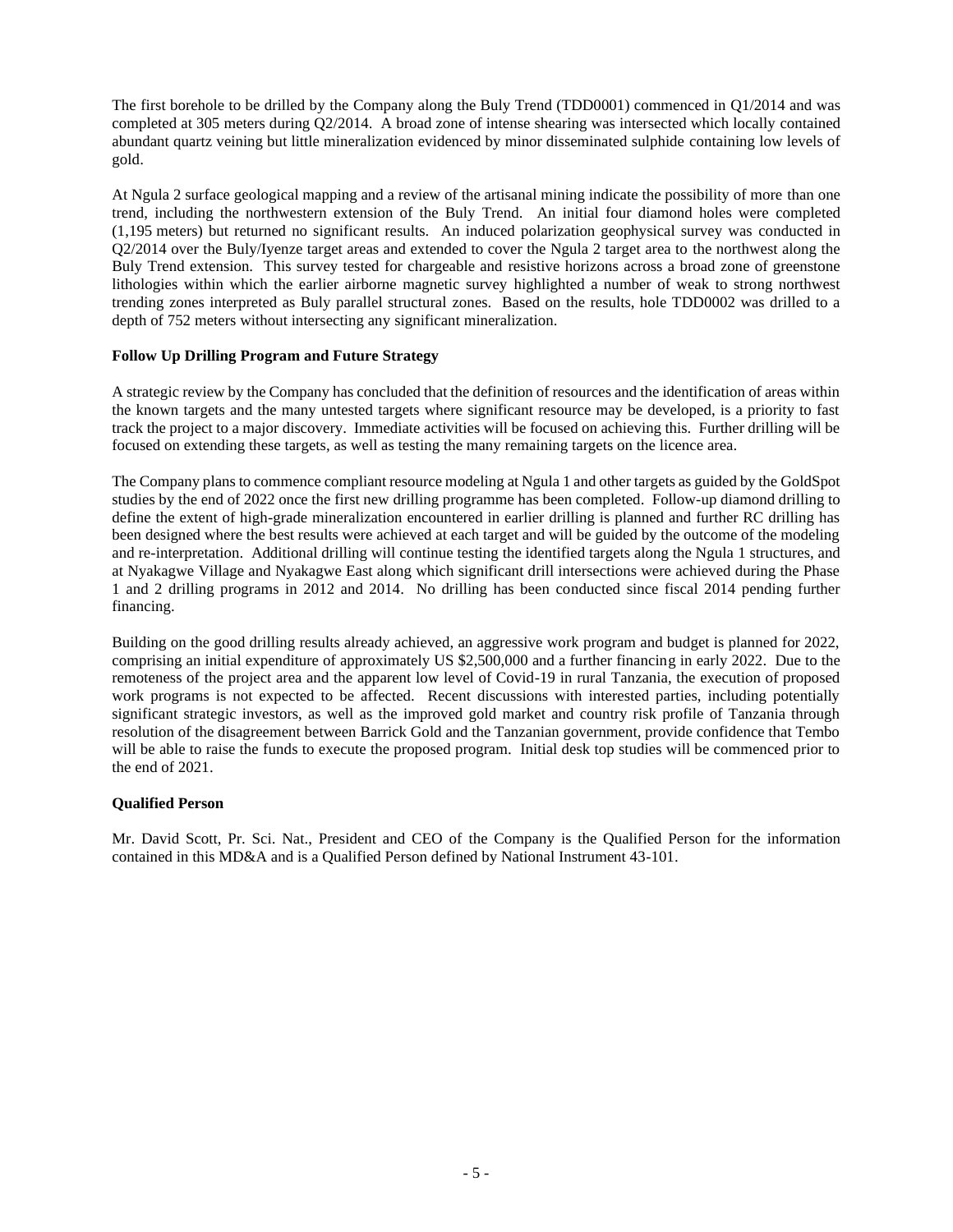The first borehole to be drilled by the Company along the Buly Trend (TDD0001) commenced in Q1/2014 and was completed at 305 meters during Q2/2014. A broad zone of intense shearing was intersected which locally contained abundant quartz veining but little mineralization evidenced by minor disseminated sulphide containing low levels of gold.

At Ngula 2 surface geological mapping and a review of the artisanal mining indicate the possibility of more than one trend, including the northwestern extension of the Buly Trend. An initial four diamond holes were completed (1,195 meters) but returned no significant results. An induced polarization geophysical survey was conducted in Q2/2014 over the Buly/Iyenze target areas and extended to cover the Ngula 2 target area to the northwest along the Buly Trend extension. This survey tested for chargeable and resistive horizons across a broad zone of greenstone lithologies within which the earlier airborne magnetic survey highlighted a number of weak to strong northwest trending zones interpreted as Buly parallel structural zones. Based on the results, hole TDD0002 was drilled to a depth of 752 meters without intersecting any significant mineralization.

# **Follow Up Drilling Program and Future Strategy**

A strategic review by the Company has concluded that the definition of resources and the identification of areas within the known targets and the many untested targets where significant resource may be developed, is a priority to fast track the project to a major discovery. Immediate activities will be focused on achieving this. Further drilling will be focused on extending these targets, as well as testing the many remaining targets on the licence area.

The Company plans to commence compliant resource modeling at Ngula 1 and other targets as guided by the GoldSpot studies by the end of 2022 once the first new drilling programme has been completed. Follow-up diamond drilling to define the extent of high-grade mineralization encountered in earlier drilling is planned and further RC drilling has been designed where the best results were achieved at each target and will be guided by the outcome of the modeling and re-interpretation. Additional drilling will continue testing the identified targets along the Ngula 1 structures, and at Nyakagwe Village and Nyakagwe East along which significant drill intersections were achieved during the Phase 1 and 2 drilling programs in 2012 and 2014. No drilling has been conducted since fiscal 2014 pending further financing.

Building on the good drilling results already achieved, an aggressive work program and budget is planned for 2022, comprising an initial expenditure of approximately US \$2,500,000 and a further financing in early 2022. Due to the remoteness of the project area and the apparent low level of Covid-19 in rural Tanzania, the execution of proposed work programs is not expected to be affected. Recent discussions with interested parties, including potentially significant strategic investors, as well as the improved gold market and country risk profile of Tanzania through resolution of the disagreement between Barrick Gold and the Tanzanian government, provide confidence that Tembo will be able to raise the funds to execute the proposed program. Initial desk top studies will be commenced prior to the end of 2021.

## **Qualified Person**

Mr. David Scott, Pr. Sci. Nat., President and CEO of the Company is the Qualified Person for the information contained in this MD&A and is a Qualified Person defined by National Instrument 43-101.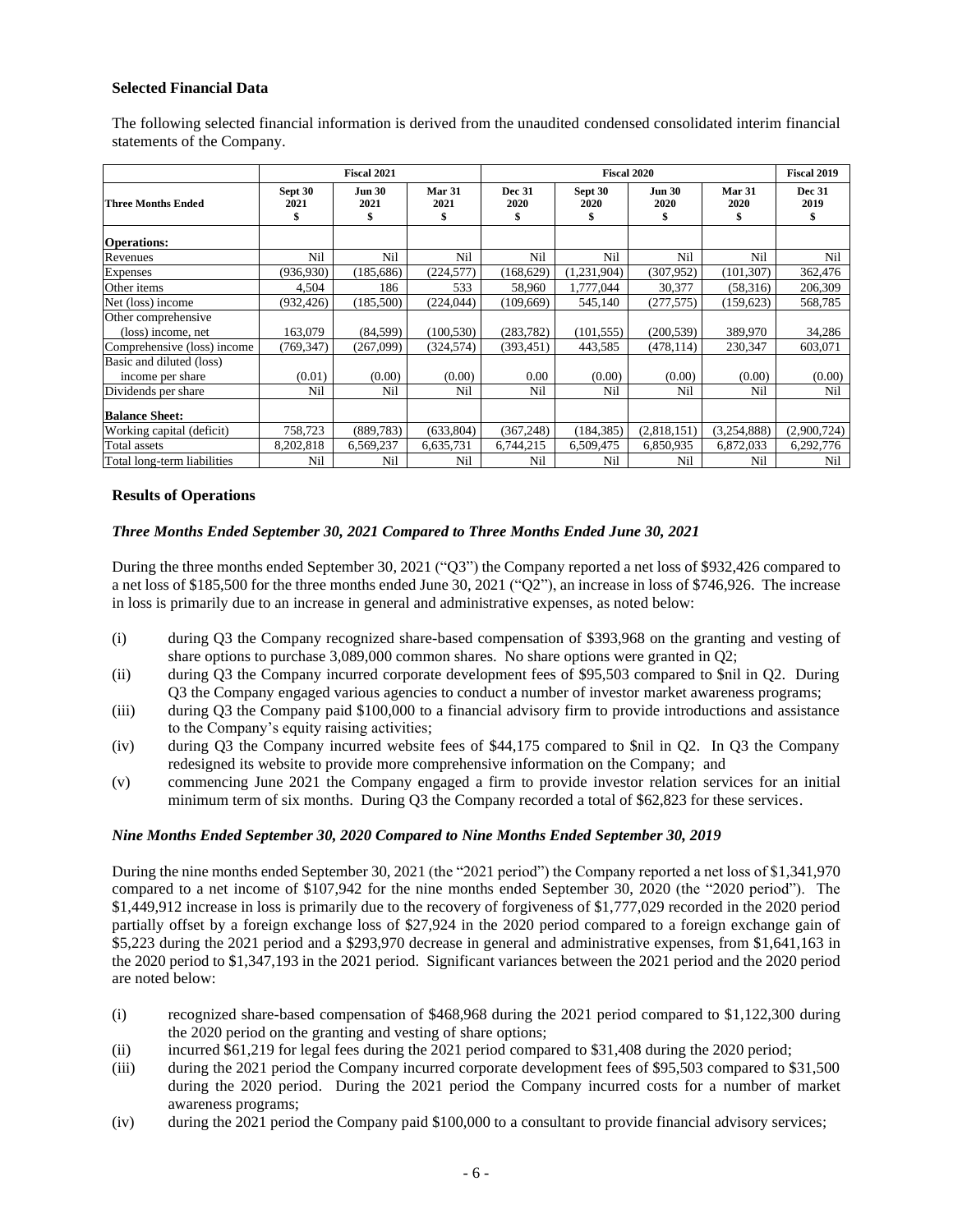## **Selected Financial Data**

|                             |                 | <b>Fiscal 2021</b>    |                      | <b>Fiscal 2020</b>    |                 |                             | <b>Fiscal 2019</b> |                       |
|-----------------------------|-----------------|-----------------------|----------------------|-----------------------|-----------------|-----------------------------|--------------------|-----------------------|
| <b>Three Months Ended</b>   | Sept 30<br>2021 | <b>Jun 30</b><br>2021 | Mar 31<br>2021<br>\$ | <b>Dec 31</b><br>2020 | Sept 30<br>2020 | <b>Jun 30</b><br>2020<br>\$ | Mar 31<br>2020     | <b>Dec 31</b><br>2019 |
| <b>Operations:</b>          |                 |                       |                      |                       |                 |                             |                    |                       |
| Revenues                    | Nil             | Nil                   | Nil                  | Nil                   | Nil             | Nil                         | Nil                | Nil                   |
| <b>Expenses</b>             | (936,930)       | (185, 686)            | (224, 577)           | (168, 629)            | (1,231,904)     | (307.952)                   | (101, 307)         | 362,476               |
| Other items                 | 4,504           | 186                   | 533                  | 58,960                | 1,777,044       | 30,377                      | (58,316)           | 206,309               |
| Net (loss) income           | (932, 426)      | (185,500)             | (224, 044)           | (109.669)             | 545,140         | (277, 575)                  | (159, 623)         | 568,785               |
| Other comprehensive         |                 |                       |                      |                       |                 |                             |                    |                       |
| (loss) income, net          | 163,079         | (84, 599)             | (100, 530)           | (283, 782)            | (101, 555)      | (200, 539)                  | 389,970            | 34,286                |
| Comprehensive (loss) income | (769, 347)      | (267,099)             | (324, 574)           | (393, 451)            | 443,585         | (478, 114)                  | 230,347            | 603,071               |
| Basic and diluted (loss)    |                 |                       |                      |                       |                 |                             |                    |                       |
| income per share            | (0.01)          | (0.00)                | (0.00)               | 0.00                  | (0.00)          | (0.00)                      | (0.00)             | (0.00)                |
| Dividends per share         | Nil             | Nil                   | Nil                  | Nil                   | Nil             | Nil                         | Nil                | Nil                   |
| <b>Balance Sheet:</b>       |                 |                       |                      |                       |                 |                             |                    |                       |
| Working capital (deficit)   | 758,723         | (889, 783)            | (633, 804)           | (367, 248)            | (184, 385)      | (2,818,151)                 | (3,254,888)        | (2,900,724)           |
| Total assets                | 8,202,818       | 6,569,237             | 6,635,731            | 6,744,215             | 6,509,475       | 6,850,935                   | 6,872,033          | 6,292,776             |
| Total long-term liabilities | Nil             | Nil                   | Nil                  | Nil                   | Nil             | Nil                         | Nil                | Nil                   |

The following selected financial information is derived from the unaudited condensed consolidated interim financial statements of the Company.

#### **Results of Operations**

#### *Three Months Ended September 30, 2021 Compared to Three Months Ended June 30, 2021*

During the three months ended September 30, 2021 ("Q3") the Company reported a net loss of \$932,426 compared to a net loss of \$185,500 for the three months ended June 30, 2021 ("Q2"), an increase in loss of \$746,926. The increase in loss is primarily due to an increase in general and administrative expenses, as noted below:

- (i) during Q3 the Company recognized share-based compensation of \$393,968 on the granting and vesting of share options to purchase 3,089,000 common shares. No share options were granted in Q2;
- (ii) during Q3 the Company incurred corporate development fees of \$95,503 compared to \$nil in Q2. During Q3 the Company engaged various agencies to conduct a number of investor market awareness programs;
- (iii) during Q3 the Company paid \$100,000 to a financial advisory firm to provide introductions and assistance to the Company's equity raising activities;
- (iv) during Q3 the Company incurred website fees of \$44,175 compared to \$nil in Q2. In Q3 the Company redesigned its website to provide more comprehensive information on the Company; and
- (v) commencing June 2021 the Company engaged a firm to provide investor relation services for an initial minimum term of six months. During Q3 the Company recorded a total of \$62,823 for these services.

#### *Nine Months Ended September 30, 2020 Compared to Nine Months Ended September 30, 2019*

During the nine months ended September 30, 2021 (the "2021 period") the Company reported a net loss of \$1,341,970 compared to a net income of \$107,942 for the nine months ended September 30, 2020 (the "2020 period"). The \$1,449,912 increase in loss is primarily due to the recovery of forgiveness of \$1,777,029 recorded in the 2020 period partially offset by a foreign exchange loss of \$27,924 in the 2020 period compared to a foreign exchange gain of \$5,223 during the 2021 period and a \$293,970 decrease in general and administrative expenses, from \$1,641,163 in the 2020 period to \$1,347,193 in the 2021 period. Significant variances between the 2021 period and the 2020 period are noted below:

- (i) recognized share-based compensation of \$468,968 during the 2021 period compared to \$1,122,300 during the 2020 period on the granting and vesting of share options;
- (ii) incurred \$61,219 for legal fees during the 2021 period compared to \$31,408 during the 2020 period;
- (iii) during the 2021 period the Company incurred corporate development fees of \$95,503 compared to \$31,500 during the 2020 period. During the 2021 period the Company incurred costs for a number of market awareness programs;
- (iv) during the 2021 period the Company paid \$100,000 to a consultant to provide financial advisory services;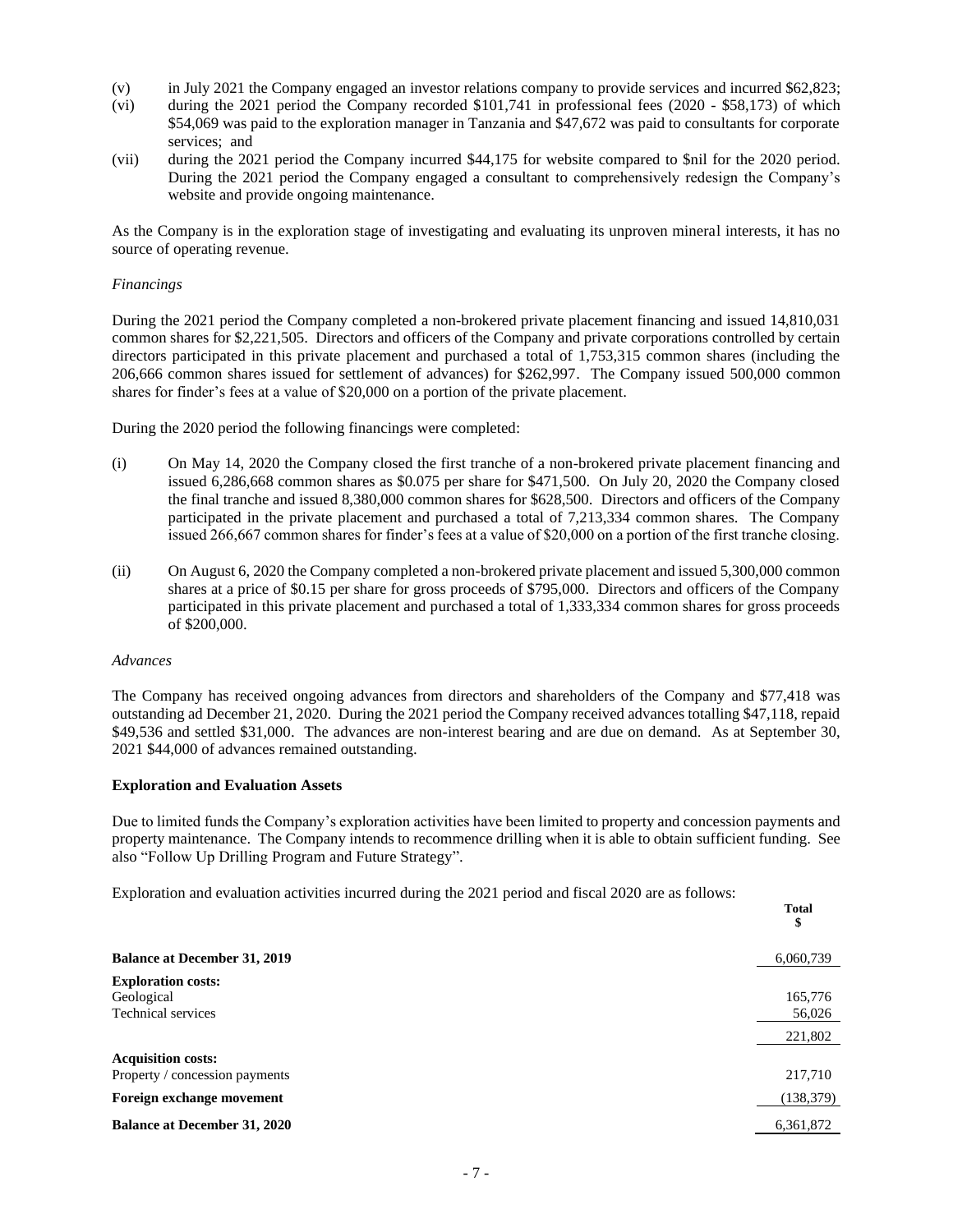- (v) in July 2021 the Company engaged an investor relations company to provide services and incurred \$62,823;
- (vi) during the 2021 period the Company recorded \$101,741 in professional fees (2020 \$58,173) of which \$54,069 was paid to the exploration manager in Tanzania and \$47,672 was paid to consultants for corporate services; and
- (vii) during the 2021 period the Company incurred \$44,175 for website compared to \$nil for the 2020 period. During the 2021 period the Company engaged a consultant to comprehensively redesign the Company's website and provide ongoing maintenance.

As the Company is in the exploration stage of investigating and evaluating its unproven mineral interests, it has no source of operating revenue.

#### *Financings*

During the 2021 period the Company completed a non-brokered private placement financing and issued 14,810,031 common shares for \$2,221,505. Directors and officers of the Company and private corporations controlled by certain directors participated in this private placement and purchased a total of 1,753,315 common shares (including the 206,666 common shares issued for settlement of advances) for \$262,997. The Company issued 500,000 common shares for finder's fees at a value of \$20,000 on a portion of the private placement.

During the 2020 period the following financings were completed:

- (i) On May 14, 2020 the Company closed the first tranche of a non-brokered private placement financing and issued 6,286,668 common shares as \$0.075 per share for \$471,500. On July 20, 2020 the Company closed the final tranche and issued 8,380,000 common shares for \$628,500. Directors and officers of the Company participated in the private placement and purchased a total of 7,213,334 common shares. The Company issued 266,667 common shares for finder's fees at a value of \$20,000 on a portion of the first tranche closing.
- (ii) On August 6, 2020 the Company completed a non-brokered private placement and issued 5,300,000 common shares at a price of \$0.15 per share for gross proceeds of \$795,000. Directors and officers of the Company participated in this private placement and purchased a total of 1,333,334 common shares for gross proceeds of \$200,000.

#### *Advances*

The Company has received ongoing advances from directors and shareholders of the Company and \$77,418 was outstanding ad December 21, 2020. During the 2021 period the Company received advances totalling \$47,118, repaid \$49,536 and settled \$31,000. The advances are non-interest bearing and are due on demand. As at September 30, 2021 \$44,000 of advances remained outstanding.

#### **Exploration and Evaluation Assets**

Due to limited funds the Company's exploration activities have been limited to property and concession payments and property maintenance. The Company intends to recommence drilling when it is able to obtain sufficient funding. See also "Follow Up Drilling Program and Future Strategy".

**Total**

Exploration and evaluation activities incurred during the 2021 period and fiscal 2020 are as follows:

|                                     | 1 vial<br>\$ |
|-------------------------------------|--------------|
| <b>Balance at December 31, 2019</b> | 6,060,739    |
| <b>Exploration costs:</b>           |              |
| Geological                          | 165,776      |
| <b>Technical services</b>           | 56,026       |
|                                     | 221,802      |
| <b>Acquisition costs:</b>           |              |
| Property / concession payments      | 217,710      |
| Foreign exchange movement           | (138, 379)   |
| <b>Balance at December 31, 2020</b> | 6,361,872    |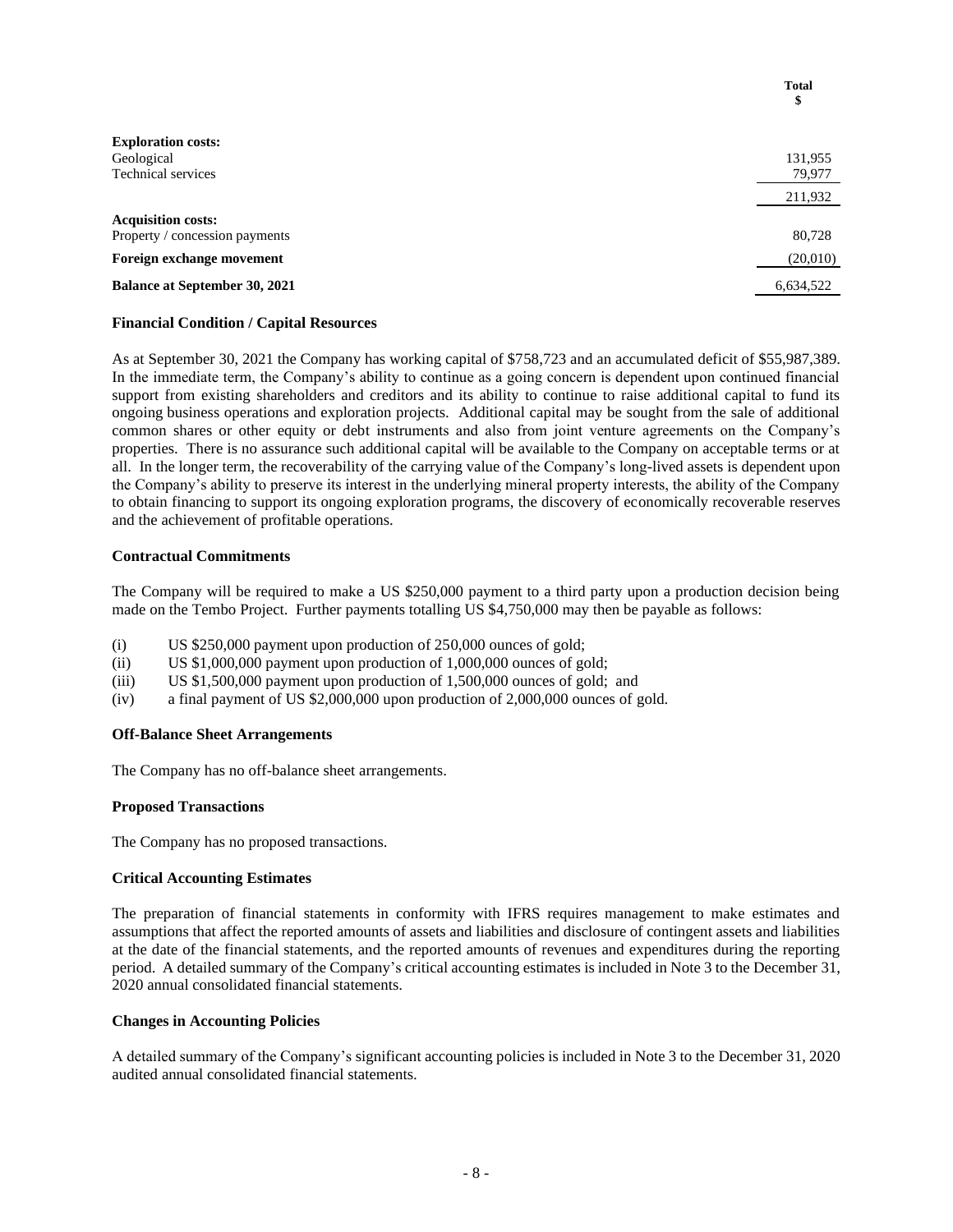|                                      | <b>Total</b><br>\$ |
|--------------------------------------|--------------------|
| <b>Exploration costs:</b>            |                    |
| Geological                           | 131,955            |
| <b>Technical services</b>            | 79,977             |
|                                      | 211,932            |
| <b>Acquisition costs:</b>            |                    |
| Property / concession payments       | 80,728             |
| Foreign exchange movement            | (20,010)           |
| <b>Balance at September 30, 2021</b> | 6,634,522          |
|                                      |                    |

#### **Financial Condition / Capital Resources**

As at September 30, 2021 the Company has working capital of \$758,723 and an accumulated deficit of \$55,987,389. In the immediate term, the Company's ability to continue as a going concern is dependent upon continued financial support from existing shareholders and creditors and its ability to continue to raise additional capital to fund its ongoing business operations and exploration projects. Additional capital may be sought from the sale of additional common shares or other equity or debt instruments and also from joint venture agreements on the Company's properties. There is no assurance such additional capital will be available to the Company on acceptable terms or at all. In the longer term, the recoverability of the carrying value of the Company's long-lived assets is dependent upon the Company's ability to preserve its interest in the underlying mineral property interests, the ability of the Company to obtain financing to support its ongoing exploration programs, the discovery of economically recoverable reserves and the achievement of profitable operations.

#### **Contractual Commitments**

The Company will be required to make a US \$250,000 payment to a third party upon a production decision being made on the Tembo Project. Further payments totalling US \$4,750,000 may then be payable as follows:

- (i) US \$250,000 payment upon production of 250,000 ounces of gold;
- (ii) US \$1,000,000 payment upon production of 1,000,000 ounces of gold;
- (iii) US \$1,500,000 payment upon production of 1,500,000 ounces of gold; and
- (iv) a final payment of US \$2,000,000 upon production of 2,000,000 ounces of gold.

#### **Off-Balance Sheet Arrangements**

The Company has no off-balance sheet arrangements.

#### **Proposed Transactions**

The Company has no proposed transactions.

## **Critical Accounting Estimates**

The preparation of financial statements in conformity with IFRS requires management to make estimates and assumptions that affect the reported amounts of assets and liabilities and disclosure of contingent assets and liabilities at the date of the financial statements, and the reported amounts of revenues and expenditures during the reporting period. A detailed summary of the Company's critical accounting estimates is included in Note 3 to the December 31, 2020 annual consolidated financial statements.

## **Changes in Accounting Policies**

A detailed summary of the Company's significant accounting policies is included in Note 3 to the December 31, 2020 audited annual consolidated financial statements.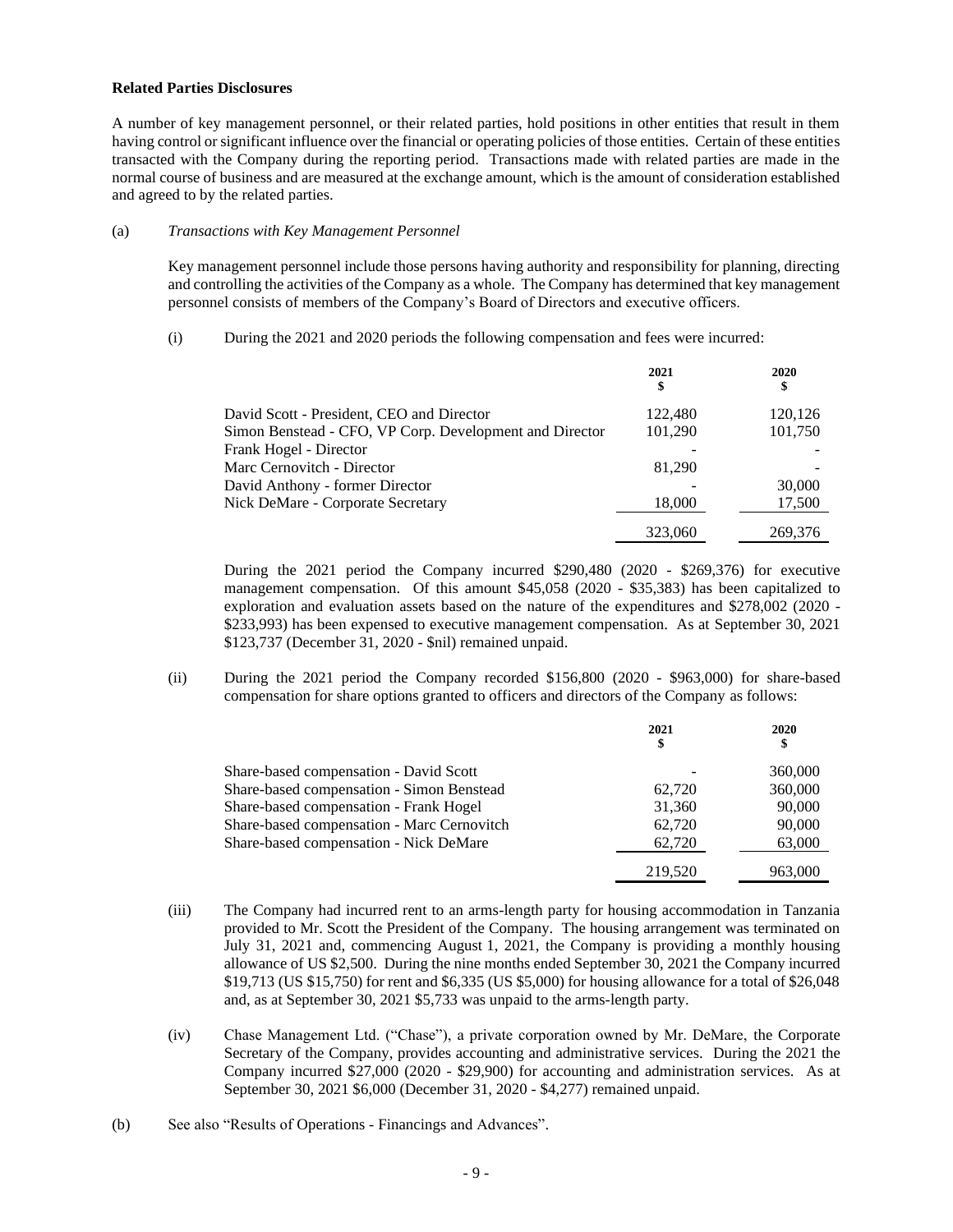#### **Related Parties Disclosures**

A number of key management personnel, or their related parties, hold positions in other entities that result in them having control or significant influence over the financial or operating policies of those entities. Certain of these entities transacted with the Company during the reporting period. Transactions made with related parties are made in the normal course of business and are measured at the exchange amount, which is the amount of consideration established and agreed to by the related parties.

#### (a) *Transactions with Key Management Personnel*

Key management personnel include those persons having authority and responsibility for planning, directing and controlling the activities of the Company as a whole. The Company has determined that key management personnel consists of members of the Company's Board of Directors and executive officers.

(i) During the 2021 and 2020 periods the following compensation and fees were incurred:

|                                                         | 2021<br>\$ | 2020    |
|---------------------------------------------------------|------------|---------|
| David Scott - President, CEO and Director               | 122,480    | 120,126 |
| Simon Benstead - CFO, VP Corp. Development and Director | 101,290    | 101,750 |
| Frank Hogel - Director                                  |            |         |
| Marc Cernovitch - Director                              | 81.290     |         |
| David Anthony - former Director                         |            | 30,000  |
| Nick DeMare - Corporate Secretary                       | 18,000     | 17,500  |
|                                                         | 323,060    | 269,376 |

During the 2021 period the Company incurred \$290,480 (2020 - \$269,376) for executive management compensation. Of this amount \$45,058 (2020 - \$35,383) has been capitalized to exploration and evaluation assets based on the nature of the expenditures and \$278,002 (2020 - \$233,993) has been expensed to executive management compensation. As at September 30, 2021 \$123,737 (December 31, 2020 - \$nil) remained unpaid.

(ii) During the 2021 period the Company recorded \$156,800 (2020 - \$963,000) for share-based compensation for share options granted to officers and directors of the Company as follows:

|                                            | 2021<br>\$ | 2020<br>\$ |
|--------------------------------------------|------------|------------|
| Share-based compensation - David Scott     |            | 360,000    |
| Share-based compensation - Simon Benstead  | 62,720     | 360,000    |
| Share-based compensation - Frank Hogel     | 31,360     | 90,000     |
| Share-based compensation - Marc Cernovitch | 62,720     | 90,000     |
| Share-based compensation - Nick DeMare     | 62,720     | 63,000     |
|                                            | 219,520    | 963,000    |

- (iii) The Company had incurred rent to an arms-length party for housing accommodation in Tanzania provided to Mr. Scott the President of the Company. The housing arrangement was terminated on July 31, 2021 and, commencing August 1, 2021, the Company is providing a monthly housing allowance of US \$2,500. During the nine months ended September 30, 2021 the Company incurred \$19,713 (US \$15,750) for rent and \$6,335 (US \$5,000) for housing allowance for a total of \$26,048 and, as at September 30, 2021 \$5,733 was unpaid to the arms-length party.
- (iv) Chase Management Ltd. ("Chase"), a private corporation owned by Mr. DeMare, the Corporate Secretary of the Company, provides accounting and administrative services. During the 2021 the Company incurred \$27,000 (2020 - \$29,900) for accounting and administration services. As at September 30, 2021 \$6,000 (December 31, 2020 - \$4,277) remained unpaid.
- (b) See also "Results of Operations Financings and Advances".